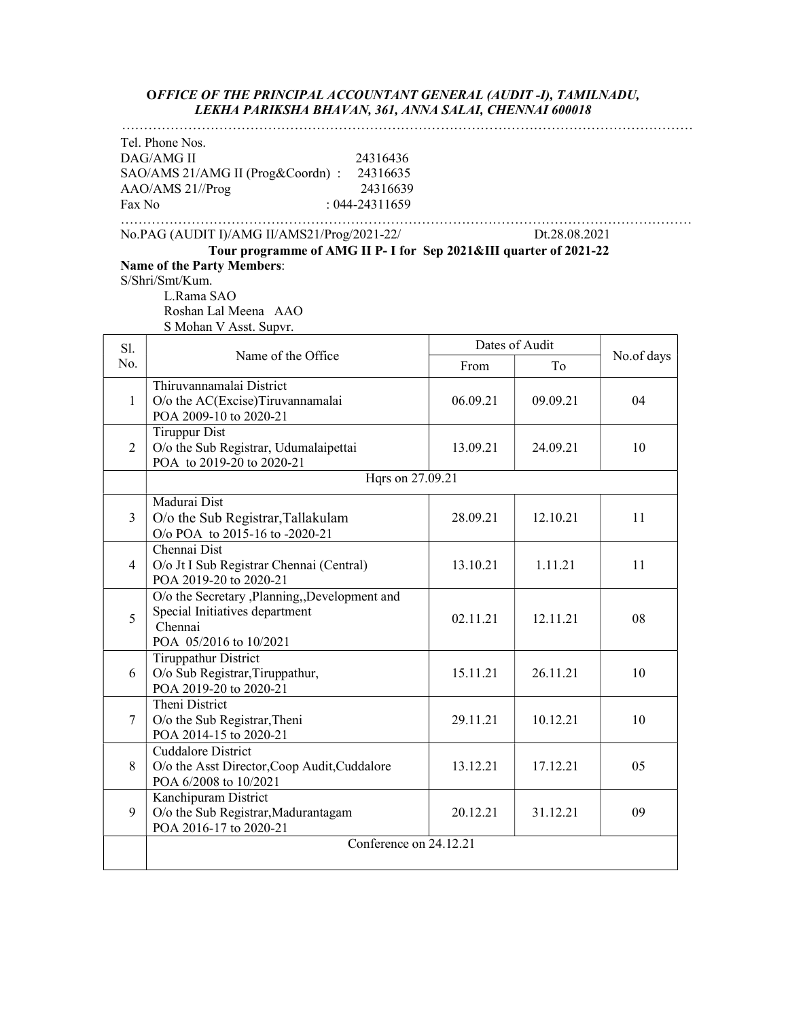#### OFFICE OF THE PRINCIPAL ACCOUNTANT GENERAL (AUDIT -I), TAMILNADU, LEKHA PARIKSHA BHAVAN, 361, ANNA SALAI, CHENNAI 600018

|                | LENHA PAKINSHA DHAVAIN, 301, AINNA SALAI, CHEINNAI 000010                                                                                                                                                                                |          |                      |            |
|----------------|------------------------------------------------------------------------------------------------------------------------------------------------------------------------------------------------------------------------------------------|----------|----------------------|------------|
| Fax No         | Tel. Phone Nos.<br>DAG/AMG II<br>24316436<br>SAO/AMS 21/AMG II (Prog&Coordn) :<br>24316635<br>AAO/AMS 21//Prog<br>24316639<br>$: 044 - 24311659$                                                                                         |          |                      |            |
|                | No.PAG (AUDIT I)/AMG II/AMS21/Prog/2021-22/<br>Tour programme of AMG II P- I for Sep 2021&III quarter of 2021-22<br><b>Name of the Party Members:</b><br>S/Shri/Smt/Kum.<br>L.Rama SAO<br>Roshan Lal Meena AAO<br>S Mohan V Asst. Supvr. |          | Dt.28.08.2021        |            |
| Sl.<br>No.     | Name of the Office                                                                                                                                                                                                                       | From     | Dates of Audit<br>To | No.of days |
| 1              | Thiruvannamalai District<br>O/o the AC(Excise)Tiruvannamalai<br>POA 2009-10 to 2020-21                                                                                                                                                   | 06.09.21 | 09.09.21             | 04         |
| 2              | <b>Tiruppur Dist</b><br>O/o the Sub Registrar, Udumalaipettai<br>POA to 2019-20 to 2020-21                                                                                                                                               | 13.09.21 | 24.09.21             | 10         |
|                | Hqrs on 27.09.21                                                                                                                                                                                                                         |          |                      |            |
| 3              | Madurai Dist<br>O/o the Sub Registrar, Tallakulam<br>O/o POA to 2015-16 to -2020-21                                                                                                                                                      | 28.09.21 | 12.10.21             | 11         |
| $\overline{4}$ | Chennai Dist<br>O/o Jt I Sub Registrar Chennai (Central)<br>POA 2019-20 to 2020-21                                                                                                                                                       | 13.10.21 | 1.11.21              | 11         |
| 5              | O/o the Secretary ,Planning,,Development and<br>Special Initiatives department<br>Chennai<br>POA 05/2016 to 10/2021                                                                                                                      | 02.11.21 | 12.11.21             | 08         |
| 6              | <b>Tiruppathur District</b><br>O/o Sub Registrar, Tiruppathur,<br>POA 2019-20 to 2020-21                                                                                                                                                 | 15.11.21 | 26.11.21             | 10         |
| 7              | Theni District<br>O/o the Sub Registrar, Theni<br>POA 2014-15 to 2020-21                                                                                                                                                                 | 29.11.21 | 10.12.21             | 10         |
| 8              | Cuddalore District<br>O/o the Asst Director, Coop Audit, Cuddalore<br>POA 6/2008 to 10/2021                                                                                                                                              | 13.12.21 | 17.12.21             | 05         |
| 9              | Kanchipuram District<br>O/o the Sub Registrar, Madurantagam<br>POA 2016-17 to 2020-21                                                                                                                                                    | 20.12.21 | 31.12.21             | 09         |
|                | Conference on 24.12.21                                                                                                                                                                                                                   |          |                      |            |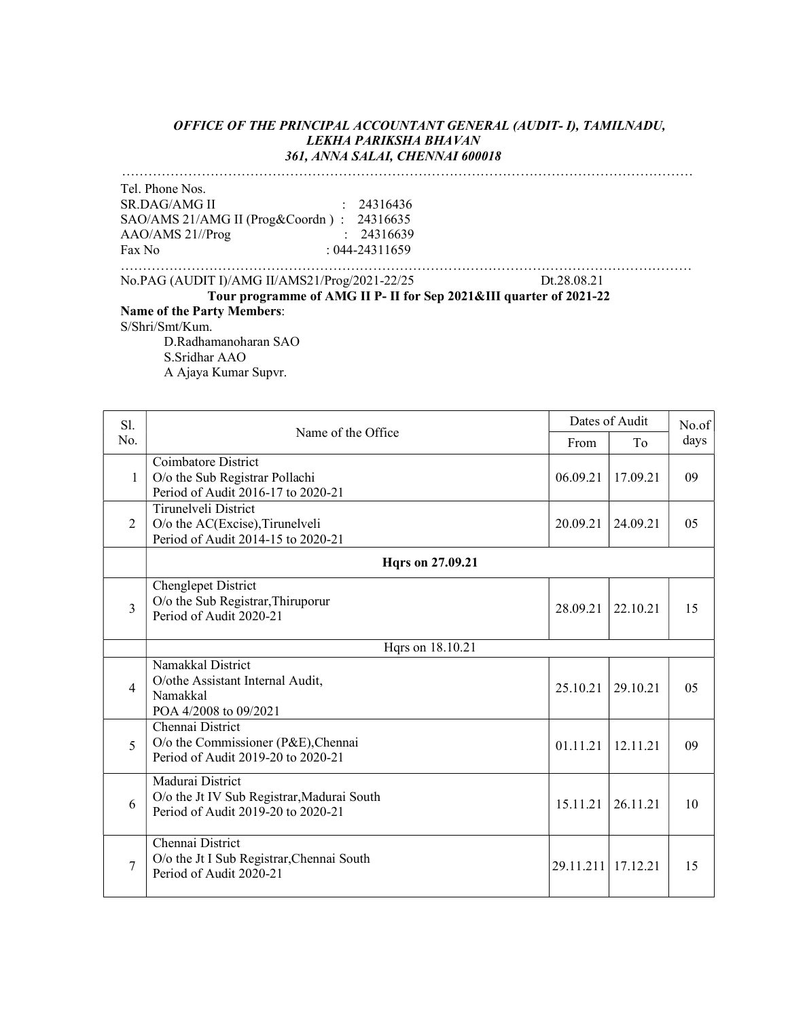#### OFFICE OF THE PRINCIPAL ACCOUNTANT GENERAL (AUDIT- I), TAMILNADU, LEKHA PARIKSHA BHAVAN 361, ANNA SALAI, CHENNAI 600018

…………………………………………………………………………………………………………………

Tel. Phone Nos. SR.DAG/AMG II : 24316436 SAO/AMS 21/AMG II (Prog&Coordn ) : 24316635 AAO/AMS 21//Prog : 24316639 Fax No : 044-24311659

………………………………………………………………………………………………………………… No.PAG (AUDIT I)/AMG II/AMS21/Prog/2021-22/25 Dt.28.08.21

Tour programme of AMG II P- II for Sep 2021&III quarter of 2021-22 Name of the Party Members: S/Shri/Smt/Kum. D.Radhamanoharan SAO S.Sridhar AAO

A Ajaya Kumar Supvr.

| Sl.            |                                                                                                      |                    | Dates of Audit | No.of |
|----------------|------------------------------------------------------------------------------------------------------|--------------------|----------------|-------|
| No.            | Name of the Office                                                                                   | From               | To             | days  |
| $\mathbf{1}$   | Coimbatore District<br>O/o the Sub Registrar Pollachi<br>Period of Audit 2016-17 to 2020-21          | 06.09.21           | 17.09.21       | 09    |
| $\overline{2}$ | Tirunelveli District<br>O/o the AC(Excise), Tirunelveli<br>Period of Audit 2014-15 to 2020-21        | 20.09.21           | 24.09.21       | 05    |
|                | <b>Hqrs</b> on 27.09.21                                                                              |                    |                |       |
| 3              | Chenglepet District<br>O/o the Sub Registrar, Thiruporur<br>Period of Audit 2020-21                  | 28.09.21           | 22.10.21       | 15    |
|                | Hqrs on 18.10.21                                                                                     |                    |                |       |
| 4              | Namakkal District<br>O/othe Assistant Internal Audit,<br>Namakkal<br>POA 4/2008 to 09/2021           | 25.10.21           | 29.10.21       | 05    |
| 5              | Chennai District<br>O/o the Commissioner (P&E), Chennai<br>Period of Audit 2019-20 to 2020-21        | 01.11.21           | 12.11.21       | 09    |
| 6              | Madurai District<br>O/o the Jt IV Sub Registrar, Madurai South<br>Period of Audit 2019-20 to 2020-21 | 15.11.21           | 26.11.21       | 10    |
| 7              | Chennai District<br>O/o the Jt I Sub Registrar, Chennai South<br>Period of Audit 2020-21             | 29.11.211 17.12.21 |                | 15    |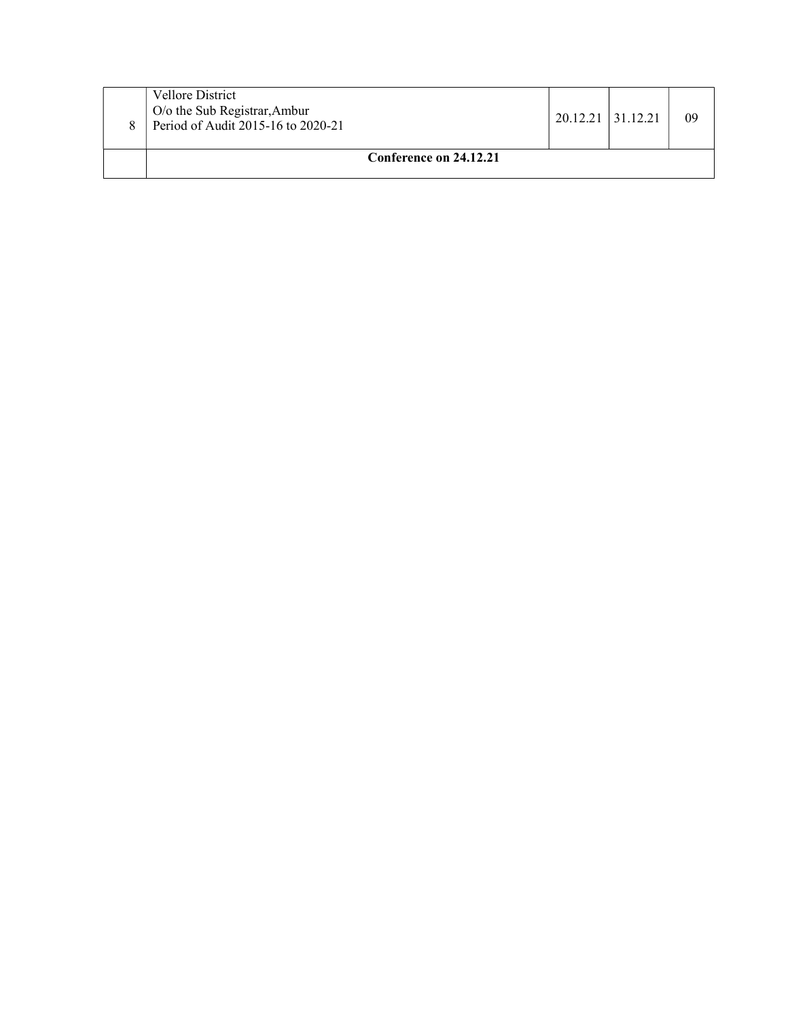| <b>Vellore District</b><br>O/o the Sub Registrar, Ambur<br>Period of Audit 2015-16 to 2020-21 | 20.12.21 31.12.21 | 09 |
|-----------------------------------------------------------------------------------------------|-------------------|----|
| Conference on 24.12.21                                                                        |                   |    |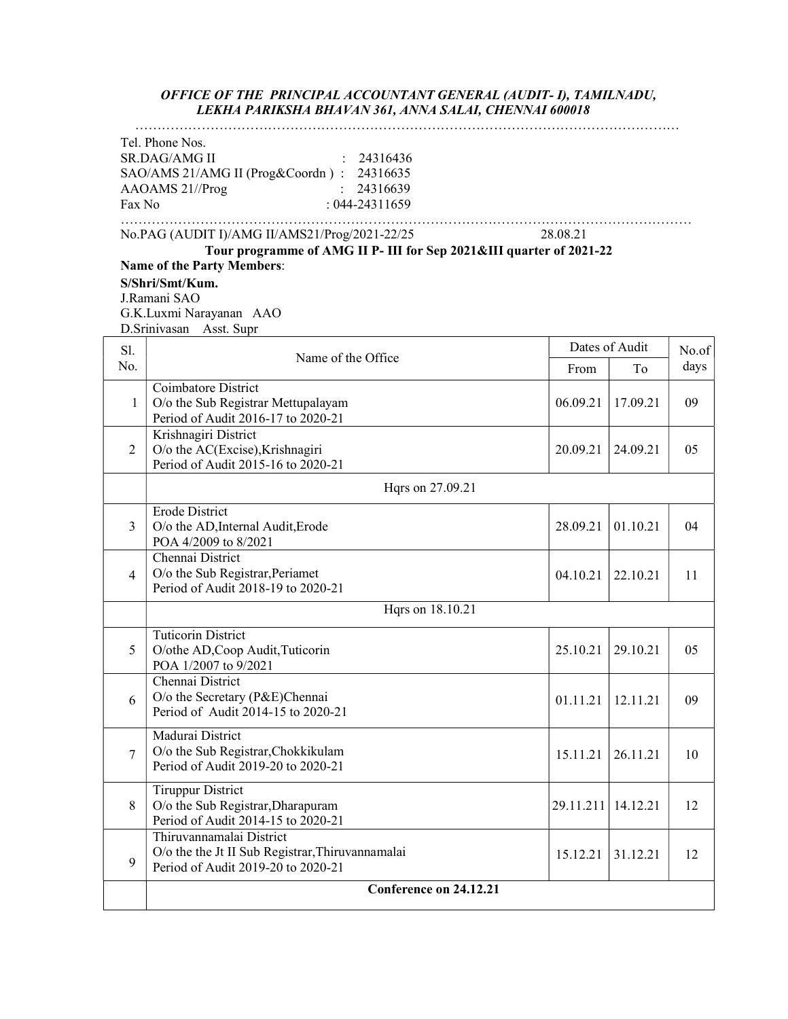#### OFFICE OF THE PRINCIPAL ACCOUNTANT GENERAL (AUDIT- I), TAMILNADU, LEKHA PARIKSHA BHAVAN 361, ANNA SALAI, CHENNAI 600018

| Tel. Phone Nos.<br><b>SR.DAG/AMG II</b><br>24316436<br>SAO/AMS 21/AMG II (Prog&Coordn): 24316635<br>AAOAMS 21//Prog<br>24316639<br>$: 044 - 24311659$<br>Fax No<br>No.PAG (AUDIT I)/AMG II/AMS21/Prog/2021-22/25<br>28.08.21<br>Tour programme of AMG II P- III for Sep 2021&III quarter of 2021-22<br><b>Name of the Party Members:</b><br>S/Shri/Smt/Kum.<br>J.Ramani SAO<br>G.K.Luxmi Narayanan AAO<br>D.Srinivasan Asst. Supr<br>Dates of Audit<br>Sl.<br>Name of the Office<br>No.<br>From<br>To<br>Coimbatore District<br>O/o the Sub Registrar Mettupalayam<br>06.09.21<br>17.09.21<br>1<br>Period of Audit 2016-17 to 2020-21<br>Krishnagiri District<br>$\overline{2}$<br>O/o the AC(Excise), Krishnagiri<br>24.09.21<br>20.09.21<br>Period of Audit 2015-16 to 2020-21<br>Hqrs on 27.09.21<br><b>Erode District</b><br>01.10.21<br>3<br>O/o the AD, Internal Audit, Erode<br>28.09.21<br>POA 4/2009 to 8/2021<br>Chennai District<br>O/o the Sub Registrar, Periamet<br>22.10.21<br>4<br>04.10.21<br>Period of Audit 2018-19 to 2020-21<br>Hqrs on 18.10.21<br><b>Tuticorin District</b><br>O/othe AD, Coop Audit, Tuticorin<br>5<br>25.10.21<br>29.10.21<br>POA 1/2007 to 9/2021<br>Chennai District<br>O/o the Secretary (P&E)Chennai<br>6<br>01.11.21<br>12.11.21<br>Period of Audit 2014-15 to 2020-21<br>Madurai District<br>O/o the Sub Registrar, Chokkikulam<br>7<br>15.11.21<br>26.11.21<br>Period of Audit 2019-20 to 2020-21<br><b>Tiruppur District</b><br>8<br>O/o the Sub Registrar, Dharapuram<br>29.11.211<br>14.12.21<br>Period of Audit 2014-15 to 2020-21 | LENHA PARINSHA BHAVAIN 301, AINNA SALAI, CHEINNAI 000010 |  |       |
|----------------------------------------------------------------------------------------------------------------------------------------------------------------------------------------------------------------------------------------------------------------------------------------------------------------------------------------------------------------------------------------------------------------------------------------------------------------------------------------------------------------------------------------------------------------------------------------------------------------------------------------------------------------------------------------------------------------------------------------------------------------------------------------------------------------------------------------------------------------------------------------------------------------------------------------------------------------------------------------------------------------------------------------------------------------------------------------------------------------------------------------------------------------------------------------------------------------------------------------------------------------------------------------------------------------------------------------------------------------------------------------------------------------------------------------------------------------------------------------------------------------------------------------------------------------------------------------|----------------------------------------------------------|--|-------|
|                                                                                                                                                                                                                                                                                                                                                                                                                                                                                                                                                                                                                                                                                                                                                                                                                                                                                                                                                                                                                                                                                                                                                                                                                                                                                                                                                                                                                                                                                                                                                                                        |                                                          |  |       |
|                                                                                                                                                                                                                                                                                                                                                                                                                                                                                                                                                                                                                                                                                                                                                                                                                                                                                                                                                                                                                                                                                                                                                                                                                                                                                                                                                                                                                                                                                                                                                                                        |                                                          |  |       |
|                                                                                                                                                                                                                                                                                                                                                                                                                                                                                                                                                                                                                                                                                                                                                                                                                                                                                                                                                                                                                                                                                                                                                                                                                                                                                                                                                                                                                                                                                                                                                                                        |                                                          |  |       |
|                                                                                                                                                                                                                                                                                                                                                                                                                                                                                                                                                                                                                                                                                                                                                                                                                                                                                                                                                                                                                                                                                                                                                                                                                                                                                                                                                                                                                                                                                                                                                                                        |                                                          |  | No.of |
|                                                                                                                                                                                                                                                                                                                                                                                                                                                                                                                                                                                                                                                                                                                                                                                                                                                                                                                                                                                                                                                                                                                                                                                                                                                                                                                                                                                                                                                                                                                                                                                        |                                                          |  | days  |
|                                                                                                                                                                                                                                                                                                                                                                                                                                                                                                                                                                                                                                                                                                                                                                                                                                                                                                                                                                                                                                                                                                                                                                                                                                                                                                                                                                                                                                                                                                                                                                                        |                                                          |  | 09    |
|                                                                                                                                                                                                                                                                                                                                                                                                                                                                                                                                                                                                                                                                                                                                                                                                                                                                                                                                                                                                                                                                                                                                                                                                                                                                                                                                                                                                                                                                                                                                                                                        |                                                          |  | 05    |
|                                                                                                                                                                                                                                                                                                                                                                                                                                                                                                                                                                                                                                                                                                                                                                                                                                                                                                                                                                                                                                                                                                                                                                                                                                                                                                                                                                                                                                                                                                                                                                                        |                                                          |  |       |
|                                                                                                                                                                                                                                                                                                                                                                                                                                                                                                                                                                                                                                                                                                                                                                                                                                                                                                                                                                                                                                                                                                                                                                                                                                                                                                                                                                                                                                                                                                                                                                                        |                                                          |  | 04    |
|                                                                                                                                                                                                                                                                                                                                                                                                                                                                                                                                                                                                                                                                                                                                                                                                                                                                                                                                                                                                                                                                                                                                                                                                                                                                                                                                                                                                                                                                                                                                                                                        |                                                          |  | 11    |
|                                                                                                                                                                                                                                                                                                                                                                                                                                                                                                                                                                                                                                                                                                                                                                                                                                                                                                                                                                                                                                                                                                                                                                                                                                                                                                                                                                                                                                                                                                                                                                                        |                                                          |  |       |
|                                                                                                                                                                                                                                                                                                                                                                                                                                                                                                                                                                                                                                                                                                                                                                                                                                                                                                                                                                                                                                                                                                                                                                                                                                                                                                                                                                                                                                                                                                                                                                                        |                                                          |  | 05    |
|                                                                                                                                                                                                                                                                                                                                                                                                                                                                                                                                                                                                                                                                                                                                                                                                                                                                                                                                                                                                                                                                                                                                                                                                                                                                                                                                                                                                                                                                                                                                                                                        |                                                          |  | 09    |
|                                                                                                                                                                                                                                                                                                                                                                                                                                                                                                                                                                                                                                                                                                                                                                                                                                                                                                                                                                                                                                                                                                                                                                                                                                                                                                                                                                                                                                                                                                                                                                                        |                                                          |  | 10    |
|                                                                                                                                                                                                                                                                                                                                                                                                                                                                                                                                                                                                                                                                                                                                                                                                                                                                                                                                                                                                                                                                                                                                                                                                                                                                                                                                                                                                                                                                                                                                                                                        |                                                          |  | 12    |
| O/o the the Jt II Sub Registrar, Thiruvannamalai<br>15.12.21<br>31.12.21<br>9<br>Period of Audit 2019-20 to 2020-21                                                                                                                                                                                                                                                                                                                                                                                                                                                                                                                                                                                                                                                                                                                                                                                                                                                                                                                                                                                                                                                                                                                                                                                                                                                                                                                                                                                                                                                                    | Thiruvannamalai District                                 |  | 12    |
| Conference on 24.12.21                                                                                                                                                                                                                                                                                                                                                                                                                                                                                                                                                                                                                                                                                                                                                                                                                                                                                                                                                                                                                                                                                                                                                                                                                                                                                                                                                                                                                                                                                                                                                                 |                                                          |  |       |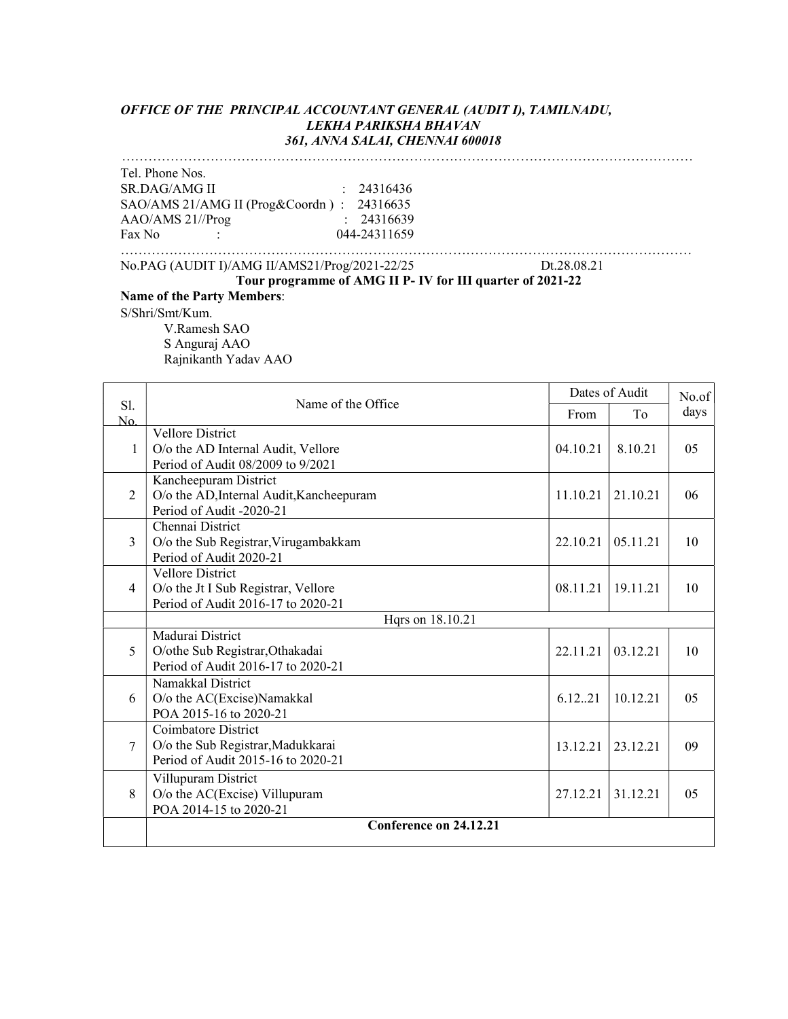#### OFFICE OF THE PRINCIPAL ACCOUNTANT GENERAL (AUDIT I), TAMILNADU, LEKHA PARIKSHA BHAVAN 361, ANNA SALAI, CHENNAI 600018 …………………………………………………………………………………………………………………

Tel. Phone Nos. SR.DAG/AMG II : 24316436 SAO/AMS 21/AMG II (Prog&Coordn ) : 24316635 AAO/AMS 21//Prog : 24316639 Fax No :  $044-24311659$ …………………………………………………………………………………………………………………

No.PAG (AUDIT I)/AMG II/AMS21/Prog/2021-22/25 Dt.28.08.21

#### Tour programme of AMG II P- IV for III quarter of 2021-22 Name of the Party Members:

S/Shri/Smt/Kum.

V.Ramesh SAO S Anguraj AAO Rajnikanth Yadav AAO

|                | Dates of Audit<br>Name of the Office<br>From<br>To                    |          |          | No.of          |  |
|----------------|-----------------------------------------------------------------------|----------|----------|----------------|--|
| S1.<br>No.     |                                                                       |          |          | days           |  |
|                | <b>Vellore District</b>                                               |          |          |                |  |
| 1              | O/o the AD Internal Audit, Vellore                                    | 04.10.21 | 8.10.21  | 05             |  |
|                | Period of Audit 08/2009 to 9/2021                                     |          |          |                |  |
|                | Kancheepuram District                                                 |          |          |                |  |
| $\overline{2}$ | O/o the AD, Internal Audit, Kancheepuram                              | 11.10.21 | 21.10.21 | 06             |  |
|                | Period of Audit -2020-21                                              |          |          |                |  |
|                | Chennai District                                                      |          |          |                |  |
| $\mathcal{E}$  | O/o the Sub Registrar, Virugambakkam                                  | 22.10.21 | 05.11.21 | 10             |  |
|                | Period of Audit 2020-21                                               |          |          |                |  |
|                | <b>Vellore District</b>                                               |          |          |                |  |
| $\overline{4}$ | O/o the Jt I Sub Registrar, Vellore                                   | 08.11.21 | 19.11.21 | 10             |  |
|                | Period of Audit 2016-17 to 2020-21                                    |          |          |                |  |
|                | Hqrs on 18.10.21                                                      |          |          |                |  |
|                | Madurai District                                                      |          |          |                |  |
| 5              | O/othe Sub Registrar, Othakadai<br>Period of Audit 2016-17 to 2020-21 | 22.11.21 | 03.12.21 | 10             |  |
|                |                                                                       |          |          |                |  |
|                | Namakkal District                                                     |          |          |                |  |
| 6              | O/o the AC(Excise)Namakkal<br>POA 2015-16 to 2020-21                  | 6.12.21  | 10.12.21 | 05             |  |
|                | Coimbatore District                                                   |          |          |                |  |
| 7              | O/o the Sub Registrar, Madukkarai                                     |          | 23.12.21 | 09             |  |
|                | Period of Audit 2015-16 to 2020-21                                    | 13.12.21 |          |                |  |
|                |                                                                       |          |          |                |  |
| 8              | Villupuram District<br>O/o the AC(Excise) Villupuram                  | 27.12.21 | 31.12.21 | 0 <sub>5</sub> |  |
|                | POA 2014-15 to 2020-21                                                |          |          |                |  |
|                | Conference on 24.12.21                                                |          |          |                |  |
|                |                                                                       |          |          |                |  |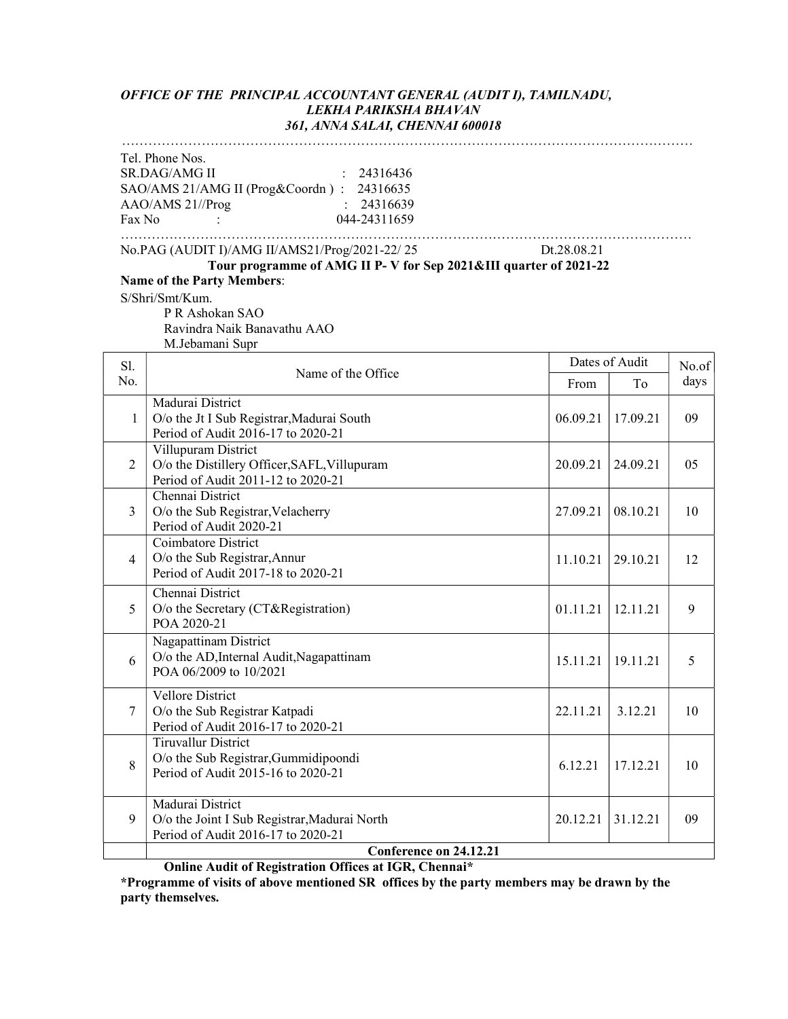#### OFFICE OF THE PRINCIPAL ACCOUNTANT GENERAL (AUDIT I), TAMILNADU, LEKHA PARIKSHA BHAVAN 361, ANNA SALAI, CHENNAI 600018

# …………………………………………………………………………………………………………………

| Tel. Phone Nos.      |                                           |              |
|----------------------|-------------------------------------------|--------------|
| <b>SR.DAG/AMG II</b> |                                           | : 24316436   |
|                      | SAO/AMS 21/AMG II (Prog&Coordn): 24316635 |              |
| $AAO/AMS$ 21//Prog   |                                           | : 24316639   |
| Fax No               |                                           | 044-24311659 |
|                      |                                           |              |

………………………………………………………………………………………………………………… No.PAG (AUDIT I)/AMG II/AMS21/Prog/2021-22/ 25 Dt.28.08.21

Tour programme of AMG II P- V for Sep 2021&III quarter of 2021-22 Name of the Party Members:

S/Shri/Smt/Kum.

P R Ashokan SAO Ravindra Naik Banavathu AAO M.Jebamani Supr

| S1.           | Dates of Audit                                                                                            |          |          | No.of |  |
|---------------|-----------------------------------------------------------------------------------------------------------|----------|----------|-------|--|
| No.           | Name of the Office                                                                                        | From     | To       | days  |  |
| 1             | Madurai District<br>O/o the Jt I Sub Registrar, Madurai South<br>Period of Audit 2016-17 to 2020-21       | 06.09.21 | 17.09.21 | 09    |  |
| 2             | Villupuram District<br>O/o the Distillery Officer, SAFL, Villupuram<br>Period of Audit 2011-12 to 2020-21 | 20.09.21 | 24.09.21 | 05    |  |
| $\mathcal{E}$ | Chennai District<br>O/o the Sub Registrar, Velacherry<br>Period of Audit 2020-21                          | 27.09.21 | 08.10.21 | 10    |  |
| 4             | Coimbatore District<br>O/o the Sub Registrar, Annur<br>Period of Audit 2017-18 to 2020-21                 | 11.10.21 | 29.10.21 | 12    |  |
| 5             | Chennai District<br>O/o the Secretary (CT&Registration)<br>POA 2020-21                                    | 01.11.21 | 12.11.21 | 9     |  |
| 6             | Nagapattinam District<br>O/o the AD, Internal Audit, Nagapattinam<br>POA 06/2009 to 10/2021               | 15.11.21 | 19.11.21 | 5     |  |
| $\tau$        | Vellore District<br>O/o the Sub Registrar Katpadi<br>Period of Audit 2016-17 to 2020-21                   | 22.11.21 | 3.12.21  | 10    |  |
| 8             | <b>Tiruvallur District</b><br>O/o the Sub Registrar, Gummidipoondi<br>Period of Audit 2015-16 to 2020-21  | 6.12.21  | 17.12.21 | 10    |  |
| 9             | Madurai District<br>O/o the Joint I Sub Registrar, Madurai North<br>Period of Audit 2016-17 to 2020-21    | 20.12.21 | 31.12.21 | 09    |  |
|               | Conference on 24.12.21                                                                                    |          |          |       |  |

Online Audit of Registration Offices at IGR, Chennai\*

\*Programme of visits of above mentioned SR offices by the party members may be drawn by the party themselves.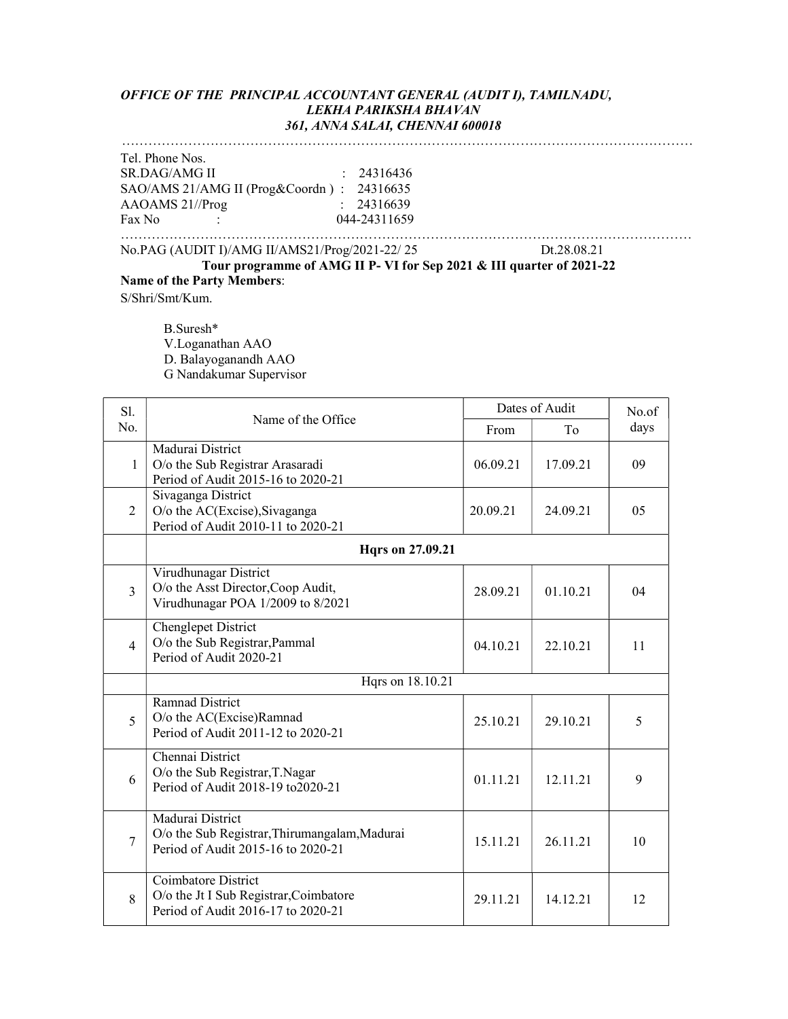#### OFFICE OF THE PRINCIPAL ACCOUNTANT GENERAL (AUDIT I), TAMILNADU, LEKHA PARIKSHA BHAVAN 361, ANNA SALAI, CHENNAI 600018

## …………………………………………………………………………………………………………………

Tel. Phone Nos. SR.DAG/AMG II : 24316436 SAO/AMS 21/AMG II (Prog&Coordn ) : 24316635 AAOAMS 21//Prog : 24316639 Fax No : 044-24311659

………………………………………………………………………………………………………………… No.PAG (AUDIT I)/AMG II/AMS21/Prog/2021-22/ 25 Dt.28.08.21

Tour programme of AMG II P- VI for Sep 2021 & III quarter of 2021-22 Name of the Party Members:

S/Shri/Smt/Kum.

 B.Suresh\* V.Loganathan AAO D. Balayoganandh AAO G Nandakumar Supervisor

| Sl.            |                                                                                                         |          | Dates of Audit | No.of |  |
|----------------|---------------------------------------------------------------------------------------------------------|----------|----------------|-------|--|
| No.            | Name of the Office                                                                                      | From     | To             | days  |  |
| 1              | Madurai District<br>O/o the Sub Registrar Arasaradi<br>Period of Audit 2015-16 to 2020-21               | 06.09.21 | 17.09.21       | 09    |  |
| 2              | Sivaganga District<br>O/o the AC(Excise), Sivaganga<br>Period of Audit 2010-11 to 2020-21               | 20.09.21 | 24.09.21       | 05    |  |
|                | Hqrs on 27.09.21                                                                                        |          |                |       |  |
| 3              | Virudhunagar District<br>O/o the Asst Director, Coop Audit,<br>Virudhunagar POA 1/2009 to 8/2021        | 28.09.21 | 01.10.21       | 04    |  |
| $\overline{4}$ | Chenglepet District<br>O/o the Sub Registrar, Pammal<br>Period of Audit 2020-21                         | 04.10.21 | 22.10.21       | 11    |  |
|                | Hqrs on 18.10.21                                                                                        |          |                |       |  |
| 5              | <b>Ramnad District</b><br>O/o the AC(Excise)Ramnad<br>Period of Audit 2011-12 to 2020-21                | 25.10.21 | 29.10.21       | 5     |  |
| 6              | Chennai District<br>O/o the Sub Registrar, T.Nagar<br>Period of Audit 2018-19 to 2020-21                | 01.11.21 | 12.11.21       | 9     |  |
| 7              | Madurai District<br>O/o the Sub Registrar, Thirumangalam, Madurai<br>Period of Audit 2015-16 to 2020-21 | 15.11.21 | 26.11.21       | 10    |  |
| 8              | Coimbatore District<br>O/o the Jt I Sub Registrar, Coimbatore<br>Period of Audit 2016-17 to 2020-21     | 29.11.21 | 14.12.21       | 12    |  |